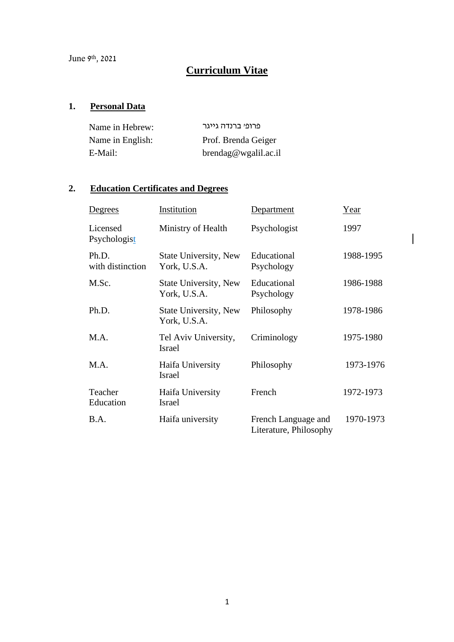# **Curriculum Vitae**

# **1. Personal Data**

| Name in Hebrew:  | פרופי ברנדה גייגר       |
|------------------|-------------------------|
| Name in English: | Prof. Brenda Geiger     |
| E-Mail:          | $b$ rendag@wgalil.ac.il |

# **2. Education Certificates and Degrees**

| <u>Degrees</u>            | Institution                                  | Department                                    | Year      |
|---------------------------|----------------------------------------------|-----------------------------------------------|-----------|
| Licensed<br>Psychologist  | Ministry of Health                           | Psychologist                                  | 1997      |
| Ph.D.<br>with distinction | State University, New<br>York, U.S.A.        | Educational<br>Psychology                     | 1988-1995 |
| M.Sc.                     | <b>State University, New</b><br>York, U.S.A. | Educational<br>Psychology                     | 1986-1988 |
| Ph.D.                     | State University, New<br>York, U.S.A.        | Philosophy                                    | 1978-1986 |
| M.A.                      | Tel Aviv University,<br><b>Israel</b>        | Criminology                                   | 1975-1980 |
| M.A.                      | Haifa University<br><b>Israel</b>            | Philosophy                                    | 1973-1976 |
| Teacher<br>Education      | Haifa University<br><b>Israel</b>            | French                                        | 1972-1973 |
| <b>B.A.</b>               | Haifa university                             | French Language and<br>Literature, Philosophy | 1970-1973 |

 $\begin{array}{c} \end{array}$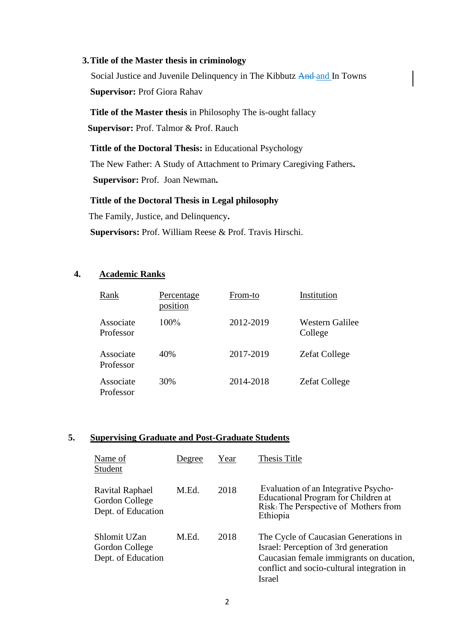#### **3.Title of the Master thesis in criminology**

Social Justice and Juvenile Delinquency in The Kibbutz And and In Towns **Supervisor:** Prof Giora Rahav

**Title of the Master thesis** in Philosophy The is-ought fallacy **Supervisor:** Prof. Talmor & Prof. Rauch

**Tittle of the Doctoral Thesis:** in Educational Psychology The New Father: A Study of Attachment to Primary Caregiving Fathers**. Supervisor:** Prof. Joan Newman**.**

# **Tittle of the Doctoral Thesis in Legal philosophy**

The Family, Justice, and Delinquency**.**

 **Supervisors:** Prof. William Reese & Prof. Travis Hirschi.

# **4. Academic Ranks**

| Rank                   | <b>Percentage</b><br>position | From-to   | Institution                |
|------------------------|-------------------------------|-----------|----------------------------|
| Associate<br>Professor | $100\%$                       | 2012-2019 | Western Galilee<br>College |
| Associate<br>Professor | 40%                           | 2017-2019 | <b>Zefat College</b>       |
| Associate<br>Professor | 30%                           | 2014-2018 | <b>Zefat College</b>       |

# **5. Supervising Graduate and Post-Graduate Students**

| Name of<br>Student                                             | Degree | Year | Thesis Title                                                                                                                                                                             |
|----------------------------------------------------------------|--------|------|------------------------------------------------------------------------------------------------------------------------------------------------------------------------------------------|
| <b>Ravital Raphael</b><br>Gordon College<br>Dept. of Education | M.Ed.  | 2018 | Evaluation of an Integrative Psycho-<br><b>Educational Program for Children at</b><br>Risk: The Perspective of Mothers from<br>Ethiopia                                                  |
| Shlomit UZan<br>Gordon College<br>Dept. of Education           | M.Ed.  | 2018 | The Cycle of Caucasian Generations in<br>Israel: Perception of 3rd generation<br>Caucasian female immigrants on ducation,<br>conflict and socio-cultural integration in<br><b>Israel</b> |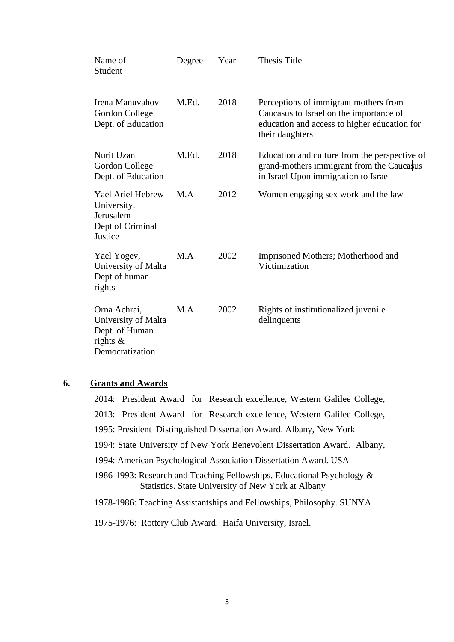| Name of<br>Student                                                                      | Degree | Year | Thesis Title                                                                                                                                        |
|-----------------------------------------------------------------------------------------|--------|------|-----------------------------------------------------------------------------------------------------------------------------------------------------|
| Irena Manuvahov<br>Gordon College<br>Dept. of Education                                 | M.Ed.  | 2018 | Perceptions of immigrant mothers from<br>Caucasus to Israel on the importance of<br>education and access to higher education for<br>their daughters |
| Nurit Uzan<br>Gordon College<br>Dept. of Education                                      | M.Ed.  | 2018 | Education and culture from the perspective of<br>grand-mothers immigrant from the Caucasus<br>in Israel Upon immigration to Israel                  |
| Yael Ariel Hebrew<br>University,<br>Jerusalem<br>Dept of Criminal<br>Justice            | M.A    | 2012 | Women engaging sex work and the law                                                                                                                 |
| Yael Yogev,<br>University of Malta<br>Dept of human<br>rights                           | M.A    | 2002 | Imprisoned Mothers; Motherhood and<br>Victimization                                                                                                 |
| Orna Achrai,<br>University of Malta<br>Dept. of Human<br>rights $\&$<br>Democratization | M.A    | 2002 | Rights of institutionalized juvenile<br>delinquents                                                                                                 |

# **6. Grants and Awards**

2014: President Award for Research excellence, Western Galilee College, 2013: President Award for Research excellence, Western Galilee College, 1995: President Distinguished Dissertation Award. Albany, New York 1994: State University of New York Benevolent Dissertation Award. Albany, 1994: American Psychological Association Dissertation Award. USA 1986-1993: Research and Teaching Fellowships, Educational Psychology & Statistics. State University of New York at Albany 1978-1986: Teaching Assistantships and Fellowships, Philosophy. SUNYA 1975-1976: Rottery Club Award. Haifa University, Israel.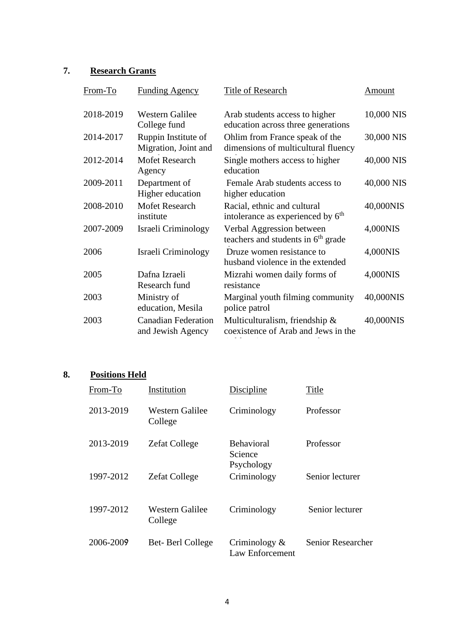# **7. Research Grants**

| From-To   | <b>Funding Agency</b>                           | Title of Research                                                            | Amount     |
|-----------|-------------------------------------------------|------------------------------------------------------------------------------|------------|
| 2018-2019 | <b>Western Galilee</b><br>College fund          | Arab students access to higher<br>education across three generations         | 10,000 NIS |
| 2014-2017 | Ruppin Institute of<br>Migration, Joint and     | Ohlim from France speak of the<br>dimensions of multicultural fluency        | 30,000 NIS |
| 2012-2014 | <b>Mofet Research</b><br>Agency                 | Single mothers access to higher<br>education                                 | 40,000 NIS |
| 2009-2011 | Department of<br>Higher education               | Female Arab students access to<br>higher education                           | 40,000 NIS |
| 2008-2010 | <b>Mofet Research</b><br>institute              | Racial, ethnic and cultural<br>intolerance as experienced by 6 <sup>th</sup> | 40,000NIS  |
| 2007-2009 | Israeli Criminology                             | Verbal Aggression between<br>teachers and students in 6 <sup>th</sup> grade  | 4,000NIS   |
| 2006      | Israeli Criminology                             | Druze women resistance to<br>husband violence in the extended                | 4,000NIS   |
| 2005      | Dafna Izraeli<br>Research fund                  | Mizrahi women daily forms of<br>resistance                                   | 4,000NIS   |
| 2003      | Ministry of<br>education, Mesila                | Marginal youth filming community<br>police patrol                            | 40,000NIS  |
| 2003      | <b>Canadian Federation</b><br>and Jewish Agency | Multiculturalism, friendship &<br>coexistence of Arab and Jews in the        | 40,000NIS  |

# **8. Positions Held**

| From-To   | Institution                | Discipline                                 | Title             |
|-----------|----------------------------|--------------------------------------------|-------------------|
| 2013-2019 | Western Galilee<br>College | Criminology                                | Professor         |
| 2013-2019 | <b>Zefat College</b>       | <b>Behavioral</b><br>Science<br>Psychology | Professor         |
| 1997-2012 | <b>Zefat College</b>       | Criminology                                | Senior lecturer   |
| 1997-2012 | Western Galilee<br>College | Criminology                                | Senior lecturer   |
| 2006-2009 | Bet-Berl College           | Criminology $\&$<br>Law Enforcement        | Senior Researcher |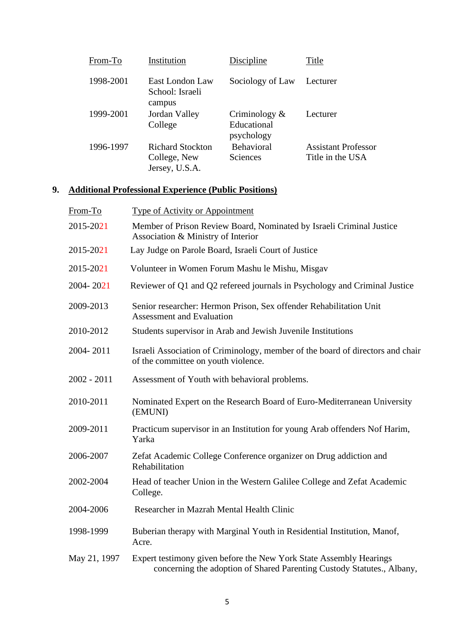| From-To   | Institution                                               | Discipline                                    | Title                                          |
|-----------|-----------------------------------------------------------|-----------------------------------------------|------------------------------------------------|
| 1998-2001 | East London Law<br>School: Israeli<br>campus              | Sociology of Law                              | Lecturer                                       |
| 1999-2001 | Jordan Valley<br>College                                  | Criminology $\&$<br>Educational<br>psychology | Lecturer                                       |
| 1996-1997 | <b>Richard Stockton</b><br>College, New<br>Jersey, U.S.A. | <b>Behavioral</b><br>Sciences                 | <b>Assistant Professor</b><br>Title in the USA |

# **9. Additional Professional Experience (Public Positions)**

| From-To       | <b>Type of Activity or Appointment</b>                                                                                                       |
|---------------|----------------------------------------------------------------------------------------------------------------------------------------------|
| 2015-2021     | Member of Prison Review Board, Nominated by Israeli Criminal Justice<br>Association & Ministry of Interior                                   |
| 2015-2021     | Lay Judge on Parole Board, Israeli Court of Justice                                                                                          |
| 2015-2021     | Volunteer in Women Forum Mashu le Mishu, Misgav                                                                                              |
| 2004-2021     | Reviewer of Q1 and Q2 refereed journals in Psychology and Criminal Justice                                                                   |
| 2009-2013     | Senior researcher: Hermon Prison, Sex offender Rehabilitation Unit<br><b>Assessment and Evaluation</b>                                       |
| 2010-2012     | Students supervisor in Arab and Jewish Juvenile Institutions                                                                                 |
| 2004-2011     | Israeli Association of Criminology, member of the board of directors and chair<br>of the committee on youth violence.                        |
| $2002 - 2011$ | Assessment of Youth with behavioral problems.                                                                                                |
| 2010-2011     | Nominated Expert on the Research Board of Euro-Mediterranean University<br>(EMUNI)                                                           |
| 2009-2011     | Practicum supervisor in an Institution for young Arab offenders Nof Harim,<br>Yarka                                                          |
| 2006-2007     | Zefat Academic College Conference organizer on Drug addiction and<br>Rehabilitation                                                          |
| 2002-2004     | Head of teacher Union in the Western Galilee College and Zefat Academic<br>College.                                                          |
| 2004-2006     | Researcher in Mazrah Mental Health Clinic                                                                                                    |
| 1998-1999     | Buberian therapy with Marginal Youth in Residential Institution, Manof,<br>Acre.                                                             |
| May 21, 1997  | Expert testimony given before the New York State Assembly Hearings<br>concerning the adoption of Shared Parenting Custody Statutes., Albany, |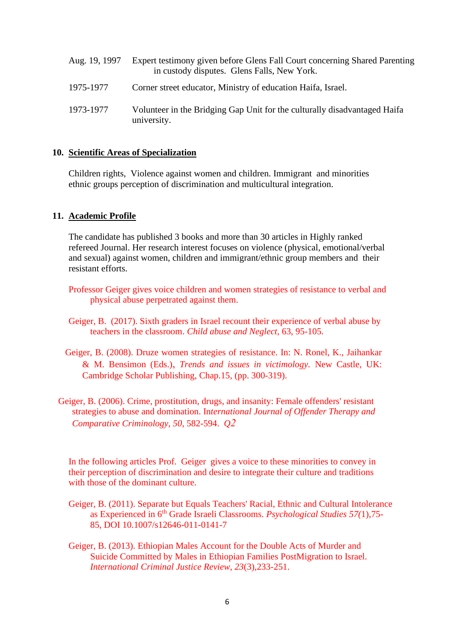| Aug. 19, 1997 | Expert testimony given before Glens Fall Court concerning Shared Parenting<br>in custody disputes. Glens Falls, New York. |
|---------------|---------------------------------------------------------------------------------------------------------------------------|
| 1975-1977     | Corner street educator, Ministry of education Haifa, Israel.                                                              |
| 1973-1977     | Volunteer in the Bridging Gap Unit for the culturally disadvantaged Haifa<br>university.                                  |

### **10. Scientific Areas of Specialization**

Children rights, Violence against women and children. Immigrant and minorities ethnic groups perception of discrimination and multicultural integration.

### **11. Academic Profile**

The candidate has published 3 books and more than 30 articles in Highly ranked refereed Journal. Her research interest focuses on violence (physical, emotional/verbal and sexual) against women, children and immigrant/ethnic group members and their resistant efforts.

- Professor Geiger gives voice children and women strategies of resistance to verbal and physical abuse perpetrated against them.
- Geiger, B. (2017). Sixth graders in Israel recount their experience of verbal abuse by teachers in the classroom. *Child abuse and Neglect,* 63, 95-105.
- Geiger, B. (2008). Druze women strategies of resistance. In: N. Ronel, K., Jaihankar & M. Bensimon (Eds.), *Trends and issues in victimology.* New Castle, UK: Cambridge Scholar Publishing, Chap.15, (pp. 300-319).
- Geiger, B. (2006). Crime, prostitution, drugs, and insanity: Female offenders' resistant strategies to abuse and domination. In*ternational Journal of Offender Therapy and Comparative Criminology*, *50*, 582-594. *Q2*

In the following articles Prof. Geiger gives a voice to these minorities to convey in their perception of discrimination and desire to integrate their culture and traditions with those of the dominant culture.

- Geiger, B. (2011). Separate but Equals Teachers' Racial, Ethnic and Cultural Intolerance as Experienced in 6th Grade Israeli Classrooms. *Psychological Studies 57(*1),75- 85, DOI 10.1007/s12646-011-0141-7
- Geiger, B. (2013). [Ethiopian Males Account for the Double Acts of Murder and](http://www.researchgate.net/publication/258139889_Ethiopian_Males_Account_for_the_Double_Acts_of_Murder_and_Suicide_Committed_by_Males_in_Ethiopian_Families_Postmigration_to_Israel)  [Suicide Committed by Males in Ethiopian Families PostMigration to Israel.](http://www.researchgate.net/publication/258139889_Ethiopian_Males_Account_for_the_Double_Acts_of_Murder_and_Suicide_Committed_by_Males_in_Ethiopian_Families_Postmigration_to_Israel)  *[International Criminal Justice Review, 23](http://www.researchgate.net/publication/258139889_Ethiopian_Males_Account_for_the_Double_Acts_of_Murder_and_Suicide_Committed_by_Males_in_Ethiopian_Families_Postmigration_to_Israel)*(3),233-251.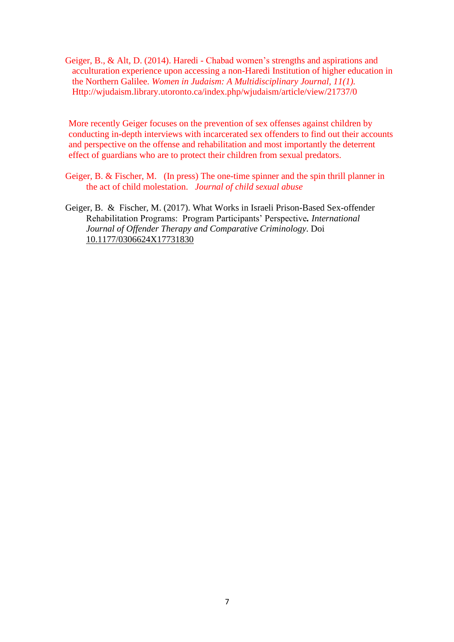Geiger, B., & Alt, D. (2014). Haredi - Chabad women's strengths and aspirations and acculturation experience upon accessing a non-Haredi Institution of higher education in the Northern Galilee. *Women in Judaism: A Multidisciplinary Journal, 11(1).*  Http://wjudaism.library.utoronto.ca/index.php/wjudaism/article/view/21737/0

More recently Geiger focuses on the prevention of sex offenses against children by conducting in-depth interviews with incarcerated sex offenders to find out their accounts and perspective on the offense and rehabilitation and most importantly the deterrent effect of guardians who are to protect their children from sexual predators.

- Geiger, B. & Fischer, M. (In press) The one-time spinner and the spin thrill planner in the act of child molestation. *Journal of child sexual abuse*
- Geiger, B. & Fischer, M. (2017). What Works in Israeli Prison-Based Sex-offender Rehabilitation Programs: Program Participants' Perspective*. International Journal of Offender Therapy and Comparative Criminology*. Doi [10.1177/0306624X17731830](https://doi.org/10.1177%2F0306624X17731830)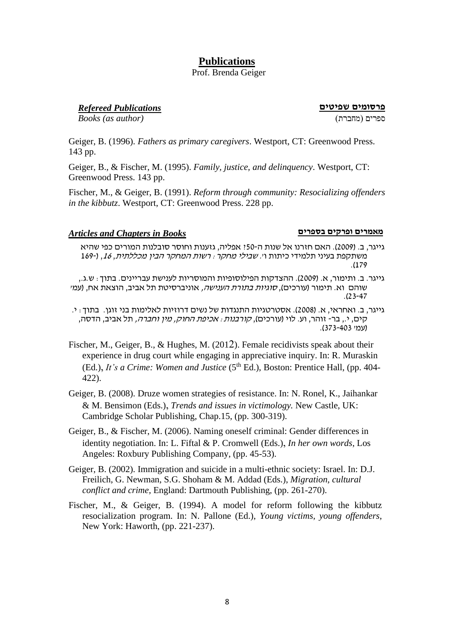# **Publications**

# Prof. Brenda Geiger

**פרסומים שפיטים** *Publications Refereed*

*Books (as author)* )מחברת )ספרים

Geiger, B. (1996). *Fathers as primary caregivers*. Westport, CT: Greenwood Press. 143 pp.

Geiger, B., & Fischer, M. (1995). *Family, justice, and delinquency*. Westport, CT: Greenwood Press. 143 pp.

Fischer, M., & Geiger, B. (1991). *Reform through community: Resocializing offenders in the kibbutz*. Westport, CT: Greenwood Press. 228 pp.

### *Articles and Chapters in Books* **בספרים ופרקים מאמרים**

- גייגר, ב. ) 2009(. האם חזרנו אל שנות ה50-? אפליה, גזענות וחוסר סובלנות המורים כפי שהיא משתקפת בעיני תלמידי כיתות ו'. שבילי מחקר: רשות המחקר הבין מכללתית, ,16 )169- .)179
- גייגר. ב. ותימור, א. )2009(. ההצדקות הפילוסופיות והמוסריות לענישת עב ריינים. בתוך: ש.ג,. שוהם וא. תימור (עורכים), *סוגיות בתורת הענישה,* אוניברסיטת תל אביב, הוצאת אח, (עמ*י* .)23-47
- גייגר, ב. ואחראי, א. )2008(. אסטרטגיות התנגדות של נשים דרוזיות לאלימות בני זוגן. בתוך: י. קים, י., בר- זוהר, וע. לוי (עורכים), *קורבנות : אכיפת החוק, מין וחברה,* תל אביב, הדסה, )עמ' 373-403(.
- Fischer, M., Geiger, B., & Hughes, M. (2012). Female recidivists speak about their experience in drug court while engaging in appreciative inquiry. In: R. Muraskin (Ed.), *It's a Crime: Women and Justice* (5<sup>th</sup> Ed.), Boston: Prentice Hall, (pp. 404-422).
- Geiger, B. (2008). Druze women strategies of resistance. In: N. Ronel, K., Jaihankar & M. Bensimon (Eds.), *Trends and issues in victimology.* New Castle, UK: Cambridge Scholar Publishing, Chap.15, (pp. 300-319).
- Geiger, B., & Fischer, M. (2006). Naming oneself criminal: Gender differences in identity negotiation. In: L. Fiftal & P. Cromwell (Eds.), *In her own words*, Los Angeles: Roxbury Publishing Company, (pp. 45-53).
- Geiger, B. (2002). Immigration and suicide in a multi-ethnic society: Israel. In: D.J. Freilich, G. Newman, S.G. Shoham & M. Addad (Eds.), *Migration, cultural conflict and crime,* England: Dartmouth Publishing, (pp. 261-270).
- Fischer, M., & Geiger, B. (1994). A model for reform following the kibbutz resocialization program. In: N. Pallone (Ed.), *Young victims, young offenders*, New York: Haworth, (pp. 221-237).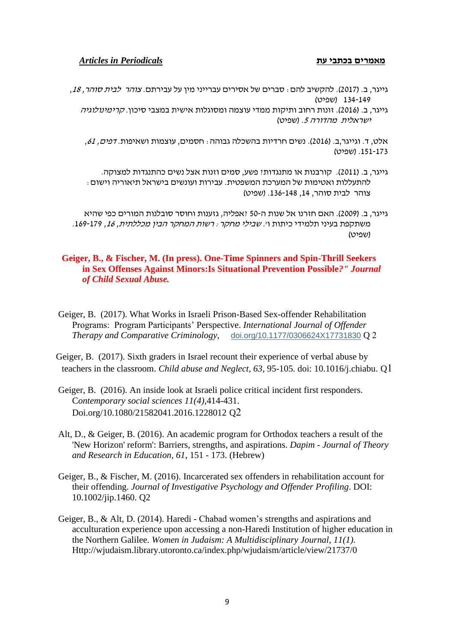### **מאמרים בכתבי עת** *Periodicals in Articles*

- גייגר, ב. (2017). להקשיב להם : סברים של אסירים עברייני מין על עבירתם. *צוהר לבית סוהר, 18*, 134-149 )שפיט(
	- גייגר, ב. (2016). זונות רחוב ותיקות ממדי עוצמה ומסוגלות אישית במצבי סיכון. *קרימינולוגיה* (ישראלית מהדורה 5. (שפיט

אלט, ד. וגייגר,ב. (2016). נשים חרדיות בהשכלה גבוהה : חסמים, עוצמות ושאיפות. *דפים, 61*, .151-173 )שפיט(

- גייגר, ב. ) 2011(. קורבנות או מתנגדות? פשע, סמים וזנות אצל נשים כהתנגדות למצוקה. להתעללות ואטימות של המערכת המשפטית. עבירות ועונשים בישראל תיאוריה וישום: צוהר לבית סוהר, ,14 .136-148 )שפיט(
- גייגר, ב. ) 2009(. האם חזרנו אל שנות ה50- ?אפליה, גזענות וחוסר סובלנות המורים כפי שהיא משתקפת בעיני תלמידי כיתות ו'. שבילי מחקר: רשות המחקר הבין מכללתית, ,<sup>16</sup> .169-179 (שפיט)

## **Geiger, B., & Fischer, M. (In press). One-Time Spinners and Spin-Thrill Seekers in Sex Offenses Against Minors:Is Situational Prevention Possible***?" Journal of Child Sexual Abuse.*

Geiger, B. (2017). What Works in Israeli Prison-Based Sex-offender Rehabilitation Programs: Program Participants' Perspective. *International Journal of Offender Therapy and Comparative Criminology*, [doi.org/10.1177/0306624X17731830](https://doi.org/10.1177/0306624X17731830) Q 2

 Geiger, B. (2017). Sixth graders in Israel recount their experience of verbal abuse by teachers in the classroom. *Child abuse and Neglect, 63*, 95-105. doi: 10.1016/j.chiabu. Q1

- Geiger, B. (2016). An inside look at Israeli police critical incident first responders. C*ontemporary social sciences 11[\(4\)](http://www.tandfonline.com/toc/rsoc21/11/4)*,414-431. Doi.org/10.1080/21582041.2016.1228012 Q2
- Alt, D., & Geiger, B. (2016). An academic program for Orthodox teachers a result of the 'New Horizon' reform': Barriers, strengths, and aspirations. *Dapim - Journal of Theory and Research in Education, 61*, 151 - 173. (Hebrew)
- Geiger, B., & Fischer, M. (2016). Incarcerated sex offenders in rehabilitation account for their offending. *Journal of Investigative Psychology and Offender Profiling*. DOI: 10.1002/jip.1460. Q2
- Geiger, B., & Alt, D. (2014). Haredi Chabad women's strengths and aspirations and acculturation experience upon accessing a non-Haredi Institution of higher education in the Northern Galilee. *Women in Judaism: A Multidisciplinary Journal, 11(1).* Http://wjudaism.library.utoronto.ca/index.php/wjudaism/article/view/21737/0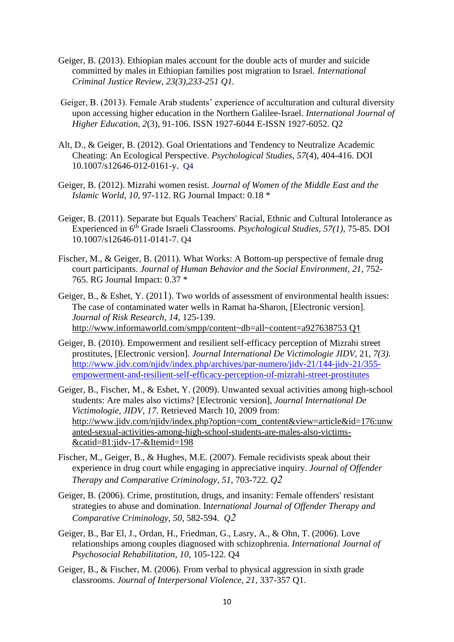- Geiger, B. (2013). Ethiopian males account for the double acts of murder and suicide committed by males in Ethiopian families post migration to Israel. *International Criminal Justice Review, 23(3),233-251 Q1.*
- Geiger, B. (2013). Female Arab students' experience of acculturation and cultural diversity upon accessing higher education in the Northern Galilee-Israel. *International Journal of Higher Education, 2*(3), 91-106. ISSN 1927-6044 E-ISSN 1927-6052. Q2
- Alt, D., & Geiger, B. (2012). Goal Orientations and Tendency to Neutralize Academic Cheating: An Ecological Perspective. *Psychological Studies*, *57*(4), 404-416. DOI 10.1007/s12646-012-0161-y. Q4
- Geiger, B. (2012). Mizrahi women resist. *Journal of Women of the Middle East and the Islamic World, 10,* 97-112. RG Journal Impact: 0.18 \*
- Geiger, B. (2011). Separate but Equals Teachers' Racial, Ethnic and Cultural Intolerance as Experienced in 6th Grade Israeli Classrooms. *Psychological Studies, 57(1),* 75-85. DOI 10.1007/s12646-011-0141-7. Q4
- Fischer, M., & Geiger, B. (2011). What Works: A Bottom-up perspective of female drug court participants. *Journal of Human Behavior and the Social Environment*, 21, 752-765. RG Journal Impact: 0.37 \*
- Geiger, B., & Eshet, Y. (2011). Two worlds of assessment of environmental health issues: The case of contaminated water wells in Ramat ha-Sharon, [Electronic version]. *Journal of Risk Research*, *[14](http://www.informaworld.com/smpp/title~db=all~content=t713685794~tab=issueslist~branches=14#v14)*, 125-139. <http://www.informaworld.com/smpp/content~db=all~content=a927638753> Q1
- Geiger, B. (2010). Empowerment and resilient self-efficacy perception of Mizrahi street prostitutes, [Electronic version]. *Journal International De Victimologie JIDV,* 21, *7(3)*. [http://www.jidv.com/njidv/index.php/archives/par-numero/jidv-21/144-jidv-21/355](http://www.jidv.com/njidv/index.php/archives/par-numero/jidv-21/144-jidv-21/355-empowerment-and-resilient-self-efficacy-perception-of-mizrahi-street-prostitutes) [empowerment-and-resilient-self-efficacy-perception-of-mizrahi-street-prostitutes](http://www.jidv.com/njidv/index.php/archives/par-numero/jidv-21/144-jidv-21/355-empowerment-and-resilient-self-efficacy-perception-of-mizrahi-street-prostitutes)
- Geiger, B., Fischer, M., & Eshet, Y. (2009). Unwanted sexual activities among high-school students: Are males also victims? [Electronic version], *Journal International De Victimologie, JIDV*, *17*. Retrieved March 10, 2009 from: [http://www.jidv.com/njidv/index.php?option=com\\_content&view=article&id=176:unw](http://www.jidv.com/njidv/index.php?option=com_content&view=article&id=176:unwanted-sexual-activities-among-high-school-students-are-males-also-victims-&catid=81:jidv-17-&Itemid=198) [anted-sexual-activities-among-high-school-students-are-males-also-victims-](http://www.jidv.com/njidv/index.php?option=com_content&view=article&id=176:unwanted-sexual-activities-among-high-school-students-are-males-also-victims-&catid=81:jidv-17-&Itemid=198) [&catid=81:jidv-17-&Itemid=198](http://www.jidv.com/njidv/index.php?option=com_content&view=article&id=176:unwanted-sexual-activities-among-high-school-students-are-males-also-victims-&catid=81:jidv-17-&Itemid=198)
- Fischer, M., Geiger, B., & Hughes, M.E. (2007). Female recidivists speak about their experience in drug court while engaging in appreciative inquiry. *Journal of Offender Therapy and Comparative Criminology*, *51*, 703-722. *Q2*
- Geiger, B. (2006). Crime, prostitution, drugs, and insanity: Female offenders' resistant strategies to abuse and domination. In*ternational Journal of Offender Therapy and Comparative Criminology*, *50*, 582-594. *Q2*
- Geiger, B., Bar El, J., Ordan, H., Friedman, G., Lasry, A., & Ohn, T. (2006). Love relationships among couples diagnosed with schizophrenia. *International Journal of Psychosocial Rehabilitation*, *10*, 105-122. Q4
- Geiger, B., & Fischer, M. (2006). From verbal to physical aggression in sixth grade classrooms. *Journal of Interpersonal Violence*, *21*, 337-357 Q1.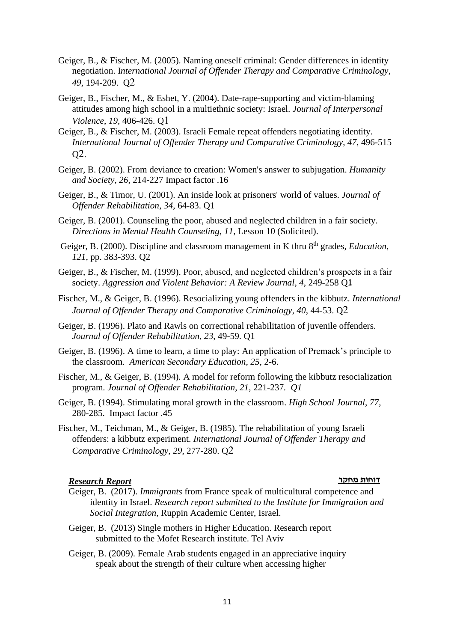- Geiger, B., & Fischer, M. (2005). Naming oneself criminal: Gender differences in identity negotiation. I*nternational Journal of Offender Therapy and Comparative Criminology*, *49*, 194-209. Q2
- Geiger, B., Fischer, M., & Eshet, Y. (2004). Date-rape-supporting and victim-blaming attitudes among high school in a multiethnic society: Israel. *Journal of Interpersonal Violence*, *19*, 406-426. Q1
- Geiger, B., & Fischer, M. (2003). Israeli Female repeat offenders negotiating identity*. International Journal of Offender Therapy and Comparative Criminology*, *47*, 496-515 Q2.
- Geiger, B. (2002). From deviance to creation: Women's answer to subjugation. *Humanity and Society, 26*, 214-227 Impact factor .16
- Geiger, B., & Timor, U. (2001). An inside look at prisoners' world of values. *Journal of Offender Rehabilitation*, *34*, 64-83. Q1
- Geiger, B. (2001). Counseling the poor, abused and neglected children in a fair society. *Directions in Mental Health Counseling*, *11*, Lesson 10 (Solicited).
- Geiger, B. (2000). Discipline and classroom management in K thru 8<sup>th</sup> grades, *Education*, *121*, pp. 383-393. Q2
- Geiger, B., & Fischer, M. (1999). Poor, abused, and neglected children's prospects in a fair society. *Aggression and Violent Behavior: A Review Journal*, *4*, 249-258 Q1
- Fischer, M., & Geiger, B. (1996). Resocializing young offenders in the kibbutz. *International Journal of Offender Therapy and Comparative Criminology*, *40*, 44-53. Q2
- Geiger, B. (1996). Plato and Rawls on correctional rehabilitation of juvenile offenders. *Journal of Offender Rehabilitation*, *23*, 49-59. Q1
- Geiger, B. (1996). A time to learn, a time to play: An application of Premack's principle to the classroom. *American Secondary Education*, *25*, 2-6.
- Fischer, M., & Geiger, B. (1994)*.* A model for reform following the kibbutz resocialization program*. Journal of Offender Rehabilitation*, *21*, 221-237*. Q1*
- Geiger, B. (1994). Stimulating moral growth in the classroom. *High School Journal*, *77*, 280-285. Impact factor .45
- Fischer, M., Teichman, M., & Geiger, B. (1985). The rehabilitation of young Israeli offenders: a kibbutz experiment. *International Journal of Offender Therapy and Comparative Criminology*, *29*, 277-280. Q2

# **דוחות מחקר** *Report Research*

- Geiger, B. (2017). *Immigrants* from France speak of multicultural competence and identity in Israel. *Research report submitted to the Institute for Immigration and Social Integration,* Ruppin Academic Center, Israel.
- Geiger, B. (2013) Single mothers in Higher Education. Research report submitted to the Mofet Research institute. Tel Aviv
- Geiger, B. (2009). Female Arab students engaged in an appreciative inquiry speak about the strength of their culture when accessing higher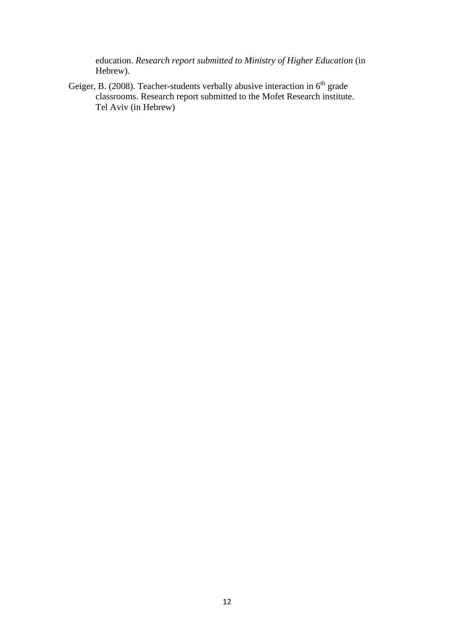education. *Research report submitted to Ministry of Higher Education* (in Hebrew).

Geiger, B. (2008). Teacher-students verbally abusive interaction in  $6<sup>th</sup>$  grade classrooms. Research report submitted to the Mofet Research institute. Tel Aviv (in Hebrew)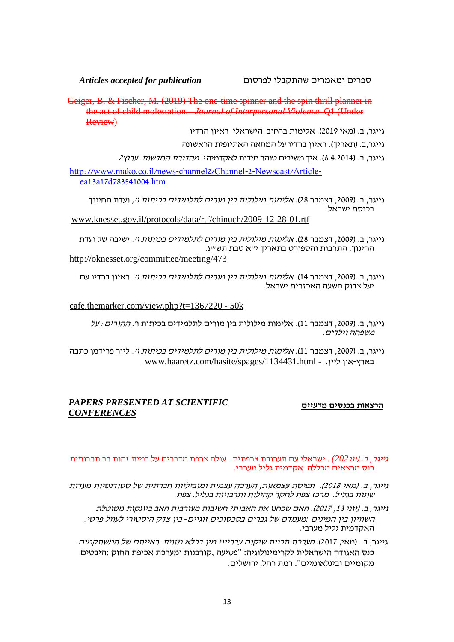ספרים ומאמרים שהתקבלו לפרסום *publication for accepted Articles*

Geiger, B. & Fischer, M. (2019) The one-time spinner and the spin thrill planner in the act of child molestation. *Journal of Interpersonal Violence* Q1 (Under Review)

גייגר, ב. (מאי 2019). אלימות ברחוב הישראלי ראיון הרדיו

גייגר,ב. (תאריך). ראיון ברדיו על המחאה האתיופית הראשונה

גייגר, ב. (4.4.2014). איד משיבים טוהר מידות לאקדמיה: *מהדורת החדשות* ע*רוץ*2

[http://www.mako.co.il/news-channel2/Channel-2-Newscast/Article](http://www.mako.co.il/news-channel2/Channel-2-Newscast/Article-ea13a17d783541004.htm)[ea13a17d783541004.htm](http://www.mako.co.il/news-channel2/Channel-2-Newscast/Article-ea13a17d783541004.htm)

גייגר, ב. (2009, דצמבר 28). *אלימות מילולית בין מורים לתלמידים בכיתות וי*, ועדת החינוך בכנסת ישראל.

[www.knesset.gov.il/protocols/data/rtf/chinuch/2009-12-28-01.rtf](http://www.knesset.gov.il/protocols/data/rtf/chinuch/2009-12-28-01.rtf)

גייגר, ב. ) ,2009 דצמבר 28(. אלימות מילולית בין מורים לתלמידים בכיתות ו'. [ישיבה של ועדת](http://oknesset.org/committee/meeting/473/) [החינוך, התרבות והספורט בתאריך י"א טבת תש"ע.](http://oknesset.org/committee/meeting/473/) <http://oknesset.org/committee/meeting/473>

גייגר, ב. (2009, דצמבר 14). *אלימות מילולית בין מורים לתלמידים בכיתות וי*. ראיון ברדיו עם יעל צדוק השעה האכזרית ישראל.

cafe.themarker.com/view.php?t=1367220 - 50k

- גייגר, ב. (2009, דצמבר 11). אלימות מילולית בין מורים לתלמידים בכיתות ו*י. ההורים : על* משפחה וילדים.
- גייגר, ב. (2009, דצמבר 11). *אלימות מילולית בין מורים לתלמידים בכיתות וי*. ליור פרידמן כתבה www.haaretz.com/hasite/spages/1134431.html - .בארץ-און ליין

# *PAPERS PRESENTED AT SCIENTIFIC* **מדעיים בכנסים הרצאות** *CONFERENCES*

#### גייגר, ב. ) יונ*202)* . ישראלי עם תערובת צרפתית. עולה צרפת מדברים על בניית זהות רב תרבותית כנס מרצאים מכללה אקדמית גליל מערבי.

- גייגר, ב. (מאי 2018). תפיסת עצמאות, הערכה עצמית ומוביליות חברתית של סטודנטיות מעדות שונות בגליל. מרכז צפת לחקר קהילות ותרבויות בגליל. צפת
	- גייגר, ב. (יוני 13, 2017). האם שכחנו את האבותי. חשיבות מעורבות האב ביונקות מטוטלת השוויון בין המינים *:*מעמדם של גברים בסכסוכים זוגיים*-* בין צדק היסטורי לעוול פרטי. האקדמית גליל מערבי.
	- גייגר, ב. (מאי, 2017). *הערכת תכנית שיקום עברייני מין בכלא מזוית* רא*ייתם של המשתקמים*. כנס האגודה הישראלית לקרימינולוגיה: "פשיעה ,קורבנּות ומערכת אכיפת החוק :היבטים מקומיים ובינלאומיים". רמת רחל, ירושלים.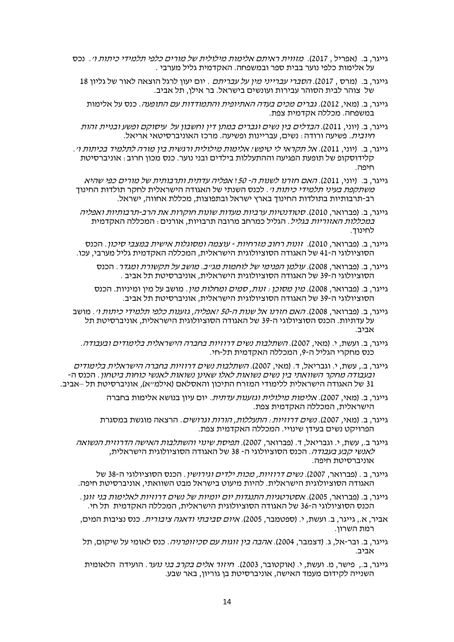- גייגר, ב. (אפריל , 2017). מזווית ראיתם אלימות מילולית של מורים כלפי תלמידי כיתות ו׳. נכס על אלימות כלפי נוער בבית ספר ובמשפחה. האקדמית גליל מערבי .
	- גייגר, ב. (מרס , 2017). *הסברי עברייני מיו על עבריתם* . יום יעוו לרגל הוצאה לאור של גליוו 18 של צוהר לבית הסוהר עבירות ועונשים בישראל. בר אילו, תל אביב.
	- גייגר, ב. (מאי, 2012). *גברים מכים בעדה האתיופית והתמודדות עם התופעה*. כנס על אלימות במשפחה. מכללה אקדמית צפת.
	- גייגר, ב. (יוני, 2011). *הבדלים בין נשים וגברים במתן דין וחשבון על* ע*יסוקם ופשע ובניית זהות* חיובית. פשיעה ורודה: נשים, עבריינות ופשיעה. מרכז האוניברסיטאי אריאל.
- גייגר, ב. )יוני, 2011(. אל תקראי לי טיפש! אלימות מילולית ורגשית בין מורה לתלמיד בכיתות ו'. קלידוסקופ של תופעת הפגיעה וההתעללות בילדים ובני נוער. כנס מכון חרוב: אוניברסיטת חיפה.
- גייגר, ב. (יוני, 2011). *האם חזרנו לשנות ה- 50*: א*פליה עדתית ותרבותית של מורים כפי שהיא* משתקפת בע*יני תלמידי כיתות ו<sup>,</sup>. לכנס השנתי של האגודה הישראלית לחקר תולדות החינוד* רב-תרבותיות בתולדות החינוך בארץ ישראל ובתפוצות, מכללת אחווה, ישראל.
- גייגר, ב. (פברואר, 2010). *סטודנטיות ערביות מעדות שונות חוקרות את הרב-תרבותיות ואפליה* במכללות האזוריות בגליל. הגליל כמרחב מרובה תרבויות, אורנים: המכללה האקדמית לחינוך.
- גייגר, ב. (פברואר, 2010). זונות רחוב מזרחיות עוצמה ומסוגלות אישית במצבי סיכון. הכנס הסוציולוגי ה 41- של האגודה הסוציולוגית הישראל ית, המכללה האקדמית גליל מערבי, עכו.
	- גייגר, ב. (פברואר, 2008). ע*ולמן הפנימי של לוחמות מג״ב. מושב על תקשורת ומגדר*. הכנס הסוציולוג י ה 39- של האגודה הסוציולוגית הישראלית, אוניברסיטת תל אביב .
	- גייגר, ב. (פברואר, 2008). *מין מסוכן : זנות, סמים ומחלות מין*. מושב על מין ומיניות. הכנס הסוציולוג י ה 39- של האגודה הסוציולוגית הישראלית, אוניברסיטת תל אביב.
- גייגר, ב. (פברואר, 2008). *האם חזרנו אל שנות ה-50 יאפליה, גזענות כלפי תלמידי כיתות וי.* מושב על עדתיות. הכנס הסוציולוגי ה39- של האגודה הסוציולוגית הישראלית, אוניברסיטת תל אביב.
	- גייגר, ב. ועשת, י. (מאי, 2007). *השתלבות נשים דרוזיות בחברה הישראלית בלימודים ובעבודה*. כנס מחקרי הגליל ה,9- המכללה האקדמית ת ל-חי.
- גייגר, ב., עשת, י. וגבריאל, ד. (מאי, 2007). *השתלבות נשים דרוזיות בחברה הישראלית בלימודים* ובעבודה מחקר השוואתי בין נשים נשואות לאלו שאינן נשואות לא נשי כוחות ביטחון . הכנס ה - 31 של האגודה הישראלית ללימודי המזרח התיכון והאסלאם )אילמ"א(, אוניברסיטת תל –אביב.
	- גייגר, ב. (מאי, 2007). *אלימות מילולית וגזענות עדתית.* יום עיון בנושא אלימות בחברה הישראלית, המכללה האקדמית צפת.
	- גייגר, ב. (מאי, 2007). *נשים דרוזיות: התעללות, הורות וגרושים.* הרצאה מוגשת במסגרת הפרויקט נשים בעידן שינויי. המכללה האקדמית צפת.
	- גייגר ב., עשת, י. וגבריאל, ד. (פברואר, 2007). *תפיסת שינוי והשתלבות האישה הדרוזית הנשואה* לאנשי קבע בעבודה. הכנס הסוציולוגי ה- 38 של האגודה הסוציולוגית הישראלית, אוניברסיטת חיפה.
	- גייגר, ב . (פברואר, 2007). *נשים דרוזיות, מכות ילדים וגירושיו*, הכנס הסוציולוגי ה-38 של האגודה הסוציולוגית הישראלית. להיות מיעוט בישראל מבט השוואתי, אוניברסיטת חיפה.
	- .<br>גייגר, ב. (פברואר, 2005). *אסטרטגיות התנגדות יום יומיות של נשים דרוזיות לאלימות בני* זוגו הכנס הסוציולוגי ה 36- של האגודה הסוציולוגית הישראלית, המכללה האקדמית תל חי.
	- אביר, א., גייגר, ב. ועשת, י. (ספטמבר, 2005). *איום סביבתי ודאגה ציבורית*. כנס נציבות המים, רמת השרון.
	- גייגר, ב. ובר-אל, ג. (דצמבר, 2004). *אהבה בין זוגות עם סכיזופרניה.* כנס לאומי על שיקום, תל אביב.
	- גייגר, ב... פישר, מ. ועשת, י. (אוקטובר, 2003). ח*יזור אלים בקרב בני נוער.* הועידה הלאומית השנייה לקידום מעמד האישה, אוניברסיטת בן גוריון, באר שבע.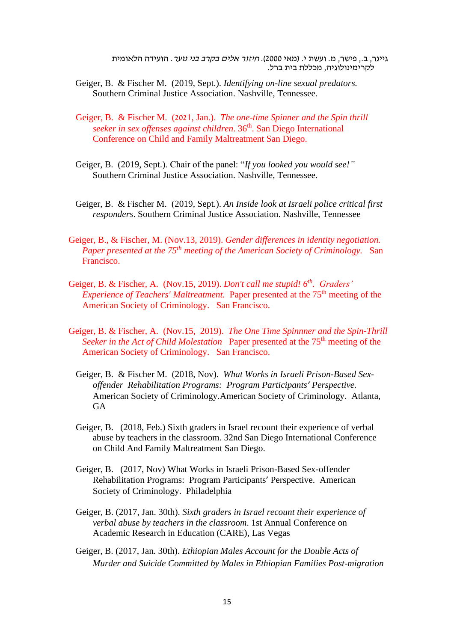גייגר, ב., פישר, מ. ועשת י. (מאי 2000). *חיזור אלים בקרב בני נוער*. הועידה הלאומית לקרימינולוגיה, מכללת בית ברל.

- Geiger, B. & Fischer M. (2019, Sept.). *Identifying on-line sexual predators.* Southern Criminal Justice Association. Nashville, Tennessee.
- Geiger, B. & Fischer M. (2021, Jan.). *The one-time Spinner and the Spin thrill seeker in sex offenses against children*. 36 th . San Diego International Conference on Child and Family Maltreatment San Diego.
- Geiger, B. (2019, Sept.). Chair of the panel: "*If you looked you would see!"* Southern Criminal Justice Association. Nashville, Tennessee.
- Geiger, B. & Fischer M. (2019, Sept.). *An Inside look at Israeli police critical first responders*. Southern Criminal Justice Association. Nashville, Tennessee
- Geiger, B., & Fischer, M. (Nov.13, 2019). *Gender differences in identity negotiation. Paper presented at the 75th meeting of the American Society of Criminology.* San Francisco.
- Geiger, B. & Fischer, A. (Nov.15, 2019). *Don't call me stupid! 6th . Graders' Experience of Teachers' Maltreatment.* Paper presented at the 75<sup>th</sup> meeting of the American Society of Criminology. San Francisco.
- Geiger, B. & Fischer, A. (Nov.15, 2019). *The One Time Spinnner and the Spin-Thrill Seeker in the Act of Child Molestation* Paper presented at the 75<sup>th</sup> meeting of the American Society of Criminology. San Francisco.
	- Geiger, B. & Fischer M. (2018, Nov). *What Works in Israeli Prison-Based Sexoffender Rehabilitation Programs: Program Participants' Perspective.* American Society of Criminology.American Society of Criminology. Atlanta, **GA**
	- Geiger, B. (2018, Feb.) Sixth graders in Israel recount their experience of verbal abuse by teachers in the classroom. 32nd San Diego International Conference on Child And Family Maltreatment San Diego.
	- Geiger, B. (2017, Nov) What Works in Israeli Prison-Based Sex-offender Rehabilitation Programs: Program Participants' Perspective. American Society of Criminology. Philadelphia
	- Geiger, B. (2017, Jan. 30th). *Sixth graders in Israel recount their experience of verbal abuse by teachers in the classroom*. 1st Annual Conference on Academic Research in Education (CARE), Las Vegas
	- Geiger, B. (2017, Jan. 30th). *Ethiopian Males Account for the Double Acts of Murder and Suicide Committed by Males in Ethiopian Families Post-migration*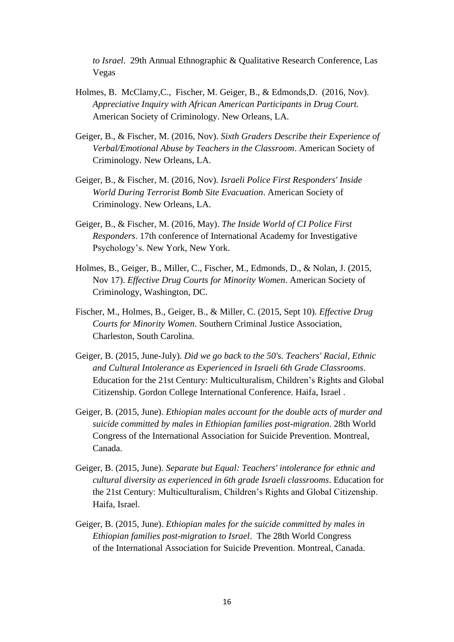*to Israel*. 29th Annual Ethnographic & Qualitative Research Conference, Las Vegas

- Holmes, B. McClamy,C., Fischer, M. Geiger, B., & Edmonds,D. (2016, Nov). *Appreciative Inquiry with African American Participants in Drug Court.*  American Society of Criminology. New Orleans, LA.
- Geiger, B., & Fischer, M. (2016, Nov). *Sixth Graders Describe their Experience of Verbal/Emotional Abuse by Teachers in the Classroom*. American Society of Criminology. New Orleans, LA.
- Geiger, B., & Fischer, M. (2016, Nov). *Israeli Police First Responders' Inside World During Terrorist Bomb Site Evacuation*. American Society of Criminology. New Orleans, LA.
- Geiger, B., & Fischer, M. (2016, May). *The Inside World of CI Police First Responders*. 17th conference of International Academy for Investigative Psychology's. New York, New York.
- Holmes, B., Geiger, B., Miller, C., Fischer, M., Edmonds, D., & Nolan, J. (2015, Nov 17). *Effective Drug Courts for Minority Women*. American Society of Criminology, Washington, DC.
- Fischer, M., Holmes, B., Geiger, B., & Miller, C. (2015, Sept 10). *Effective Drug Courts for Minority Women*. Southern Criminal Justice Association, Charleston, South Carolina.
- Geiger, B. (2015, June-July). *Did we go back to the 50's. Teachers' Racial, Ethnic and Cultural Intolerance as Experienced in Israeli 6th Grade Classrooms*. Education for the 21st Century: Multiculturalism, Children's Rights and Global Citizenship. Gordon College International Conference. Haifa, Israel .
- Geiger, B. (2015, June). *Ethiopian males account for the double acts of murder and suicide committed by males in Ethiopian families post-migration*. 28th World Congress of the International Association for Suicide Prevention. Montreal, Canada.
- Geiger, B. (2015, June). *Separate but Equal: Teachers' intolerance for ethnic and cultural diversity as experienced in 6th grade Israeli classrooms*. Education for the 21st Century: Multiculturalism, Children's Rights and Global Citizenship. Haifa, Israel.
- Geiger, B. (2015, June). *Ethiopian males for the suicide committed by males in Ethiopian families post-migration to Israel*. The 28th World Congress [of the International Association for Suicide Prevention.](http://iasp2015.com/) Montreal, Canada.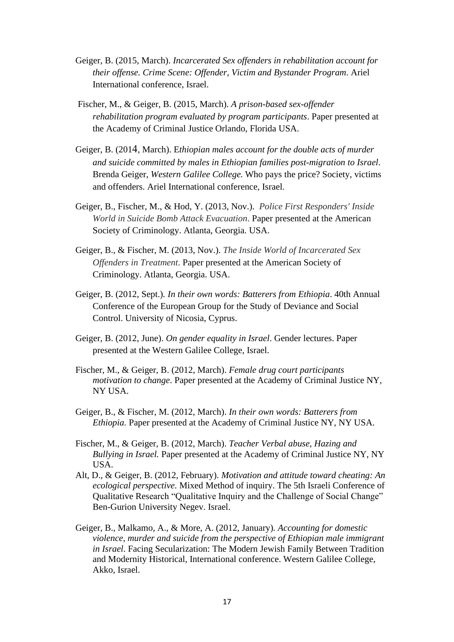- Geiger, B. (2015, March). *Incarcerated Sex offenders in rehabilitation account for their offense. Crime Scene: Offender, Victim and Bystander Program*. Ariel International conference, Israel.
- Fischer, M., & Geiger, B. (2015, March). *A prison-based sex-offender rehabilitation program evaluated by program participants*. Paper presented at the Academy of Criminal Justice Orlando, Florida USA.
- Geiger, B. (2014, March). E*thiopian males account for the double acts of murder and suicide committed by males in Ethiopian families post-migration to Israel*. Brenda Geiger, *Western Galilee College.* Who pays the price? Society, victims and offenders. Ariel International conference, Israel.
- Geiger, B., Fischer, M., & Hod, Y. (2013, Nov.). *Police First Responders' Inside World in Suicide Bomb Attack Evacuation*. Paper presented at the American Society of Criminology. Atlanta, Georgia. USA.
- Geiger, B., & Fischer, M. (2013, Nov.). *The Inside World of Incarcerated Sex Offenders in Treatment*. Paper presented at the American Society of Criminology. Atlanta, Georgia. USA.
- Geiger, B. (2012, Sept.)*. In their own words: Batterers from Ethiopia*. 40th Annual Conference of the European Group for the Study of Deviance and Social Control. University of Nicosia, Cyprus.
- Geiger, B. (2012, June). *On gender equality in Israel*. Gender lectures. Paper presented at the Western Galilee College, Israel.
- Fischer, M., & Geiger, B. (2012, March). *Female drug court participants motivation to change*. Paper presented at the Academy of Criminal Justice NY, NY USA.
- Geiger, B., & Fischer, M. (2012, March). *In their own words: Batterers from Ethiopia.* Paper presented at the Academy of Criminal Justice NY, NY USA.
- Fischer, M., & Geiger, B. (2012, March). *Teacher Verbal abuse, Hazing and Bullying in Israel.* Paper presented at the Academy of Criminal Justice NY, NY USA.
- Alt, D., & Geiger, B. (2012, February). *Motivation and attitude toward cheating: An ecological perspective*. Mixed Method of inquiry. The 5th Israeli Conference of Qualitative Research "Qualitative Inquiry and the Challenge of Social Change" Ben-Gurion University Negev. Israel.
- Geiger, B., Malkamo, A., & More, A. (2012, January)*. Accounting for domestic violence, murder and suicide from the perspective of Ethiopian male immigrant in Israel*. Facing Secularization: The Modern Jewish Family Between Tradition and Modernity Historical, International conference. Western Galilee College, Akko, Israel.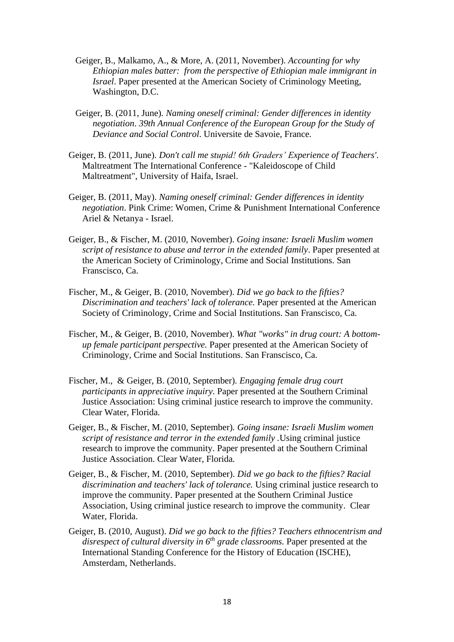- Geiger, B., Malkamo, A., & More, A. (2011, November). *Accounting for why Ethiopian males batter: from the perspective of Ethiopian male immigrant in Israel*. Paper presented at the American Society of Criminology Meeting, Washington, D.C.
- Geiger, B. (2011, June)*. Naming oneself criminal: Gender differences in identity negotiation*. *39th Annual Conference of the European Group for the Study of Deviance and Social Control*. Universite de Savoie, France.
- Geiger, B. (2011, June). *Don't call me stupid! 6th Graders' Experience of Teachers'*. Maltreatment The International Conference - "Kaleidoscope of Child Maltreatment", University of Haifa, Israel.
- Geiger, B. (2011, May). *Naming oneself criminal: Gender differences in identity negotiation*. Pink Crime: Women, Crime & Punishment International Conference Ariel & Netanya - Israel.
- Geiger, B., & Fischer, M. (2010, November). *Going insane: Israeli Muslim women script of resistance to abuse and terror in the extended family*. Paper presented at the American Society of Criminology*,* Crime and Social Institutions. San Franscisco, Ca.
- Fischer, M., & Geiger, B. (2010, November). *Did we go back to the fifties? Discrimination and teachers' lack of tolerance.* Paper presented at the American Society of Criminology*,* Crime and Social Institutions. San Franscisco, Ca.
- Fischer, M., & Geiger, B. (2010, November). *What "works" in drug court: A bottomup female participant perspective.* Paper presented at the American Society of Criminology*,* Crime and Social Institutions. San Franscisco, Ca.
- Fischer, M., & Geiger, B. (2010, September). *Engaging female drug court participants in appreciative inquiry*. Paper presented at the Southern Criminal Justice Association: Using criminal justice research to improve the community. Clear Water, Florida.
- Geiger, B., & Fischer, M. (2010, September)*. Going insane: Israeli Muslim women script of resistance and terror in the extended family .*Using criminal justice research to improve the community. Paper presented at the Southern Criminal Justice Association. Clear Water, Florida.
- Geiger, B., & Fischer, M. (2010, September). *Did we go back to the fifties? Racial discrimination and teachers' lack of tolerance.* Using criminal justice research to improve the community. Paper presented at the Southern Criminal Justice Association*,* Using criminal justice research to improve the community. Clear Water, Florida.
- Geiger, B. (2010, August). *Did we go back to the fifties? Teachers ethnocentrism and disrespect of cultural diversity in 6th grade classrooms.* Paper presented at the International Standing Conference for the History of Education (ISCHE), Amsterdam, Netherlands.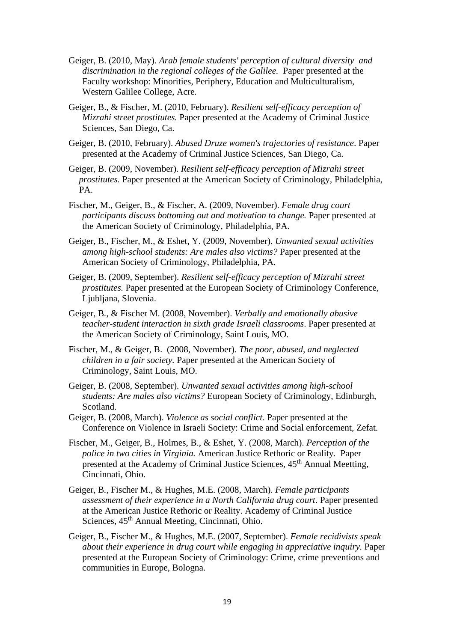- Geiger, B. (2010, May). *Arab female students' perception of cultural diversity and discrimination in the regional colleges of the Galilee.* Paper presented at the Faculty workshop: Minorities, Periphery, Education and Multiculturalism, Western Galilee College, Acre.
- Geiger, B., & Fischer, M. (2010, February). *Resilient self-efficacy perception of Mizrahi street prostitutes.* Paper presented at the Academy of Criminal Justice Sciences, San Diego, Ca.
- Geiger, B. (2010, February). *Abused Druze women's trajectories of resistance*. Paper presented at the Academy of Criminal Justice Sciences*,* San Diego, Ca.
- Geiger, B. (2009, November). *Resilient self-efficacy perception of Mizrahi street prostitutes.* Paper presented at the American Society of Criminology*,* Philadelphia, PA.
- Fischer, M., Geiger, B., & Fischer, A. (2009, November). *Female drug court participants discuss bottoming out and motivation to change.* Paper presented at the American Society of Criminology, Philadelphia, PA.
- Geiger, B., Fischer, M., & Eshet, Y. (2009, November). *Unwanted sexual activities among high-school students: Are males also victims?* Paper presented at the American Society of Criminology, Philadelphia, PA.
- Geiger, B. (2009, September). *Resilient self-efficacy perception of Mizrahi street prostitutes.* Paper presented at the European Society of Criminology Conference, Ljubljana, Slovenia.
- Geiger, B*.*, & Fischer M. (2008, November). *Verbally and emotionally abusive teacher-student interaction in sixth grade Israeli classrooms*. Paper presented at the American Society of Criminology, Saint Louis, MO.
- Fischer, M., & Geiger, B. (2008, November). *The poor, abused, and neglected children in a fair society.* Paper presented at the American Society of Criminology, Saint Louis*,* MO.
- Geiger, B. (2008, September). *Unwanted sexual activities among high-school students: Are males also victims?* European Society of Criminology, Edinburgh, Scotland.
- Geiger, B. (2008, March). *Violence as social conflict*. Paper presented at the Conference on Violence in Israeli Society: Crime and Social enforcement*,* Zefat.
- Fischer, M., Geiger, B., Holmes, B., & Eshet, Y. (2008, March). *Perception of the police in two cities in Virginia.* American Justice Rethoric or Reality. Paper presented at the Academy of Criminal Justice Sciences, 45<sup>th</sup> Annual Meetting, Cincinnati, Ohio.
- Geiger, B*.*, Fischer M., & Hughes, M.E. (2008, March). *Female participants assessment of their experience in a North California drug court*. Paper presented at the American Justice Rethoric or Reality. Academy of Criminal Justice Sciences,  $45<sup>th</sup>$  Annual Meeting, Cincinnati, Ohio.
- Geiger, B., Fischer M., & Hughes, M.E. (2007, September). *Female recidivists speak about their experience in drug court while engaging in appreciative inquiry.* Paper presented at the European Society of Criminology: Crime, crime preventions and communities in Europe, Bologna.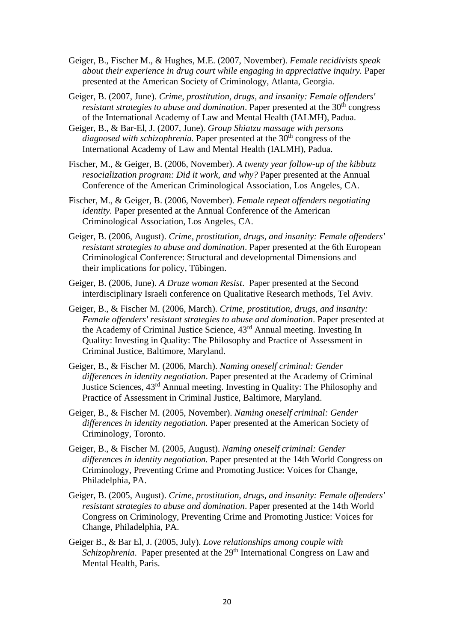Geiger, B., Fischer M., & Hughes, M.E. (2007, November). *Female recidivists speak about their experience in drug court while engaging in appreciative inquiry.* Paper presented at the American Society of Criminology, Atlanta, Georgia.

Geiger, B. (2007, June). *Crime, prostitution, drugs, and insanity: Female offenders'*  resistant strategies to abuse and domination. Paper presented at the 30<sup>th</sup> congress of the International Academy of Law and Mental Health (IALMH), Padua.

Geiger, B., & Bar-El, J. (2007, June). *Group Shiatzu massage with persons diagnosed with schizophrenia.* Paper presented at the 30<sup>th</sup> congress of the International Academy of Law and Mental Health (IALMH), Padua.

Fischer, M., & Geiger, B. (2006, November). *A twenty year follow-up of the kibbutz resocialization program: Did it work, and why?* Paper presented at the Annual Conference of the American Criminological Association, Los Angeles, CA.

Fischer, M., & Geiger, B. (2006, November). *Female repeat offenders negotiating identity.* Paper presented at the Annual Conference of the American Criminological Association, Los Angeles, CA.

Geiger, B. (2006, August). *Crime, prostitution, drugs, and insanity: Female offenders' resistant strategies to abuse and domination*. Paper presented at the 6th European Criminological Conference: Structural and developmental Dimensions and their implications for policy, Tübingen.

Geiger, B. (2006, June). *A Druze woman Resist*. Paper presented at the Second interdisciplinary Israeli conference on Qualitative Research methods, Tel Aviv.

- Geiger, B., & Fischer M. (2006, March). *Crime, prostitution, drugs, and insanity: Female offenders' resistant strategies to abuse and domination*. Paper presented at the Academy of Criminal Justice Science, 43rd Annual meeting. Investing In Quality: Investing in Quality: The Philosophy and Practice of Assessment in Criminal Justice, Baltimore, Maryland.
- Geiger, B., & Fischer M. (2006, March). *Naming oneself criminal: Gender differences in identity negotiation*. Paper presented at the Academy of Criminal Justice Sciences, 43rd Annual meeting. Investing in Quality: The Philosophy and Practice of Assessment in Criminal Justice, Baltimore, Maryland.
- Geiger, B., & Fischer M. (2005, November). *Naming oneself criminal: Gender differences in identity negotiation.* Paper presented at the American Society of Criminology, Toronto.
- Geiger, B., & Fischer M. (2005, August). *Naming oneself criminal: Gender differences in identity negotiation.* Paper presented at the 14th World Congress on Criminology, Preventing Crime and Promoting Justice: Voices for Change, Philadelphia, PA.
- Geiger, B. (2005, August). *Crime, prostitution, drugs, and insanity: Female offenders' resistant strategies to abuse and domination*. Paper presented at the 14th World Congress on Criminology, Preventing Crime and Promoting Justice: Voices for Change, Philadelphia, PA.
- Geiger B., & Bar El, J. (2005, July). *Love relationships among couple with Schizophrenia*. Paper presented at the 29<sup>th</sup> International Congress on Law and Mental Health, Paris.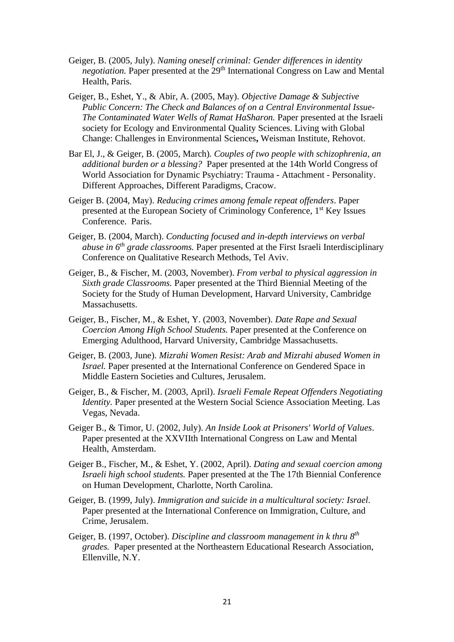- Geiger, B. (2005, July). *Naming oneself criminal: Gender differences in identity negotiation*. Paper presented at the 29<sup>th</sup> International Congress on Law and Mental Health, Paris.
- Geiger, B., Eshet, Y., & Abir, A. (2005, May). *Objective Damage & Subjective Public Concern: The Check and Balances of on a Central Environmental Issue-The Contaminated Water Wells of Ramat HaSharon.* Paper presented at the Israeli society for Ecology and Environmental Quality Sciences. Living with Global Change: Challenges in Environmental Sciences**,** Weisman Institute, Rehovot.
- Bar El, J., & Geiger, B. (2005, March)*. Couples of two people with schizophrenia, an additional burden or a blessing?* Paper presented at the 14th World Congress of World Association for Dynamic Psychiatry: Trauma - Attachment - Personality. Different Approaches, Different Paradigms, Cracow.
- Geiger B. (2004, May). *Reducing crimes among female repeat offenders*. Paper presented at the European Society of Criminology Conference, 1st Key Issues Conference. Paris.
- Geiger, B. (2004, March). *Conducting focused and in-depth interviews on verbal abuse in 6th grade classrooms.* Paper presented at the First Israeli Interdisciplinary Conference on Qualitative Research Methods, Tel Aviv.
- Geiger, B., & Fischer, M. (2003, November). *From verbal to physical aggression in Sixth grade Classrooms.* Paper presented at the Third Biennial Meeting of the Society for the Study of Human Development, Harvard University, Cambridge Massachusetts.
- Geiger, B., Fischer, M., & Eshet, Y. (2003, November). *Date Rape and Sexual Coercion Among High School Students.* Paper presented at the Conference on Emerging Adulthood, Harvard University, Cambridge Massachusetts.
- Geiger, B. (2003, June). *Mizrahi Women Resist: Arab and Mizrahi abused Women in Israel.* Paper presented at the International Conference on Gendered Space in Middle Eastern Societies and Cultures, Jerusalem.
- Geiger, B., & Fischer, M. (2003, April). *Israeli Female Repeat Offenders Negotiating Identity.* Paper presented at the Western Social Science Association Meeting. Las Vegas, Nevada.
- Geiger B., & Timor, U. (2002, July). *An Inside Look at Prisoners' World of Values*. Paper presented at the XXVIIth International Congress on Law and Mental Health, Amsterdam.
- Geiger B., Fischer, M., & Eshet, Y. (2002, April). *Dating and sexual coercion among Israeli high school students.* Paper presented at the The 17th Biennial Conference on Human Development, Charlotte, North Carolina.
- Geiger, B. (1999, July). *Immigration and suicide in a multicultural society: Israel*. Paper presented at the International Conference on Immigration, Culture, and Crime, Jerusalem.
- Geiger, B. (1997, October). *Discipline and classroom management in k thru 8 th grades.* Paper presented at the Northeastern Educational Research Association, Ellenville, N.Y.